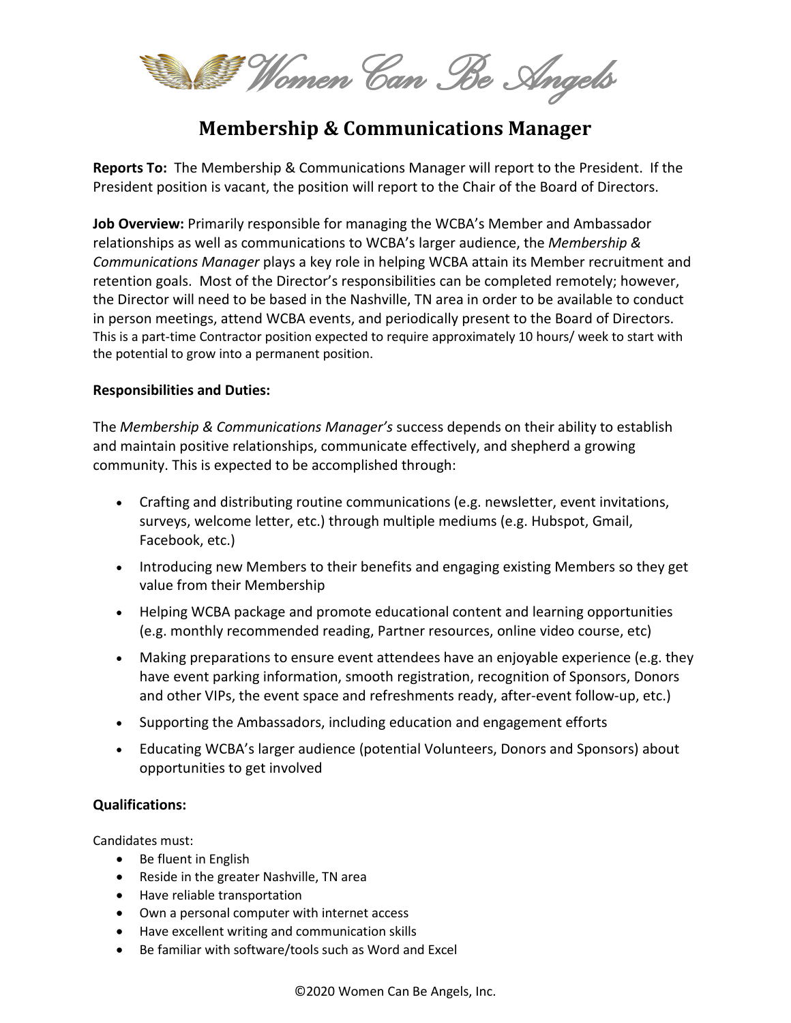Women Can *Be Angels* 

# **Membership & Communications Manager**

**Reports To:** The Membership & Communications Manager will report to the President. If the President position is vacant, the position will report to the Chair of the Board of Directors.

**Job Overview:** Primarily responsible for managing the WCBA's Member and Ambassador relationships as well as communications to WCBA's larger audience, the *Membership & Communications Manager* plays a key role in helping WCBA attain its Member recruitment and retention goals. Most of the Director's responsibilities can be completed remotely; however, the Director will need to be based in the Nashville, TN area in order to be available to conduct in person meetings, attend WCBA events, and periodically present to the Board of Directors. This is a part-time Contractor position expected to require approximately 10 hours/ week to start with the potential to grow into a permanent position.

### **Responsibilities and Duties:**

The *Membership & Communications Manager's* success depends on their ability to establish and maintain positive relationships, communicate effectively, and shepherd a growing community. This is expected to be accomplished through:

- Crafting and distributing routine communications (e.g. newsletter, event invitations, surveys, welcome letter, etc.) through multiple mediums (e.g. Hubspot, Gmail, Facebook, etc.)
- Introducing new Members to their benefits and engaging existing Members so they get value from their Membership
- Helping WCBA package and promote educational content and learning opportunities (e.g. monthly recommended reading, Partner resources, online video course, etc)
- Making preparations to ensure event attendees have an enjoyable experience (e.g. they have event parking information, smooth registration, recognition of Sponsors, Donors and other VIPs, the event space and refreshments ready, after-event follow-up, etc.)
- Supporting the Ambassadors, including education and engagement efforts
- Educating WCBA's larger audience (potential Volunteers, Donors and Sponsors) about opportunities to get involved

## **Qualifications:**

Candidates must:

- Be fluent in English
- Reside in the greater Nashville, TN area
- Have reliable transportation
- Own a personal computer with internet access
- Have excellent writing and communication skills
- Be familiar with software/tools such as Word and Excel

©2020 Women Can Be Angels, Inc.